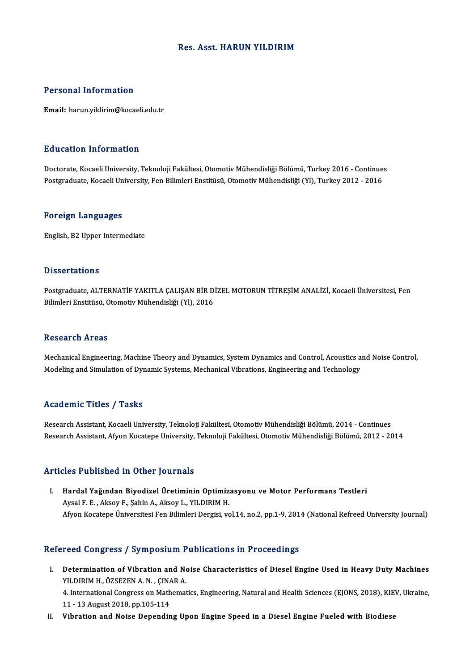## Res. Asst.HARUN YILDIRIM

## Personal Information

Email: harun.yildirim@kocaeli.edu.tr

## Education Information

**Education Information**<br>Doctorate, Kocaeli University, Teknoloji Fakültesi, Otomotiv Mühendisliği Bölümü, Turkey 2016 - Continues<br>Postsraduate Kosaeli University, Fen Bilimleri Enstitüsü, Otomotiv Mühendisliği (VI), Turkey Pu u susesi Timominusion<br>Doctorate, Kocaeli University, Teknoloji Fakültesi, Otomotiv Mühendisliği Bölümü, Turkey 2016 - Continue:<br>Postgraduate, Kocaeli University, Fen Bilimleri Enstitüsü, Otomotiv Mühendisliği (Yl), Turk Postgraduate, Kocaeli University, Fen Bilimleri Enstitüsü, Otomotiv Mühendisliği (Yl), Turkey 2012 - 2016<br>Foreign Languages

English,B2Upper Intermediate

### **Dissertations**

Dissertations<br>Postgraduate, ALTERNATİF YAKITLA ÇALIŞAN BİR DİZEL MOTORUN TİTREŞİM ANALİZİ, Kocaeli Üniversitesi, Fen<br>Bilimleri Enstitüsü, Otamatiy Mühandialiği (V), 2016 Bilboot tationo<br>Postgraduate, ALTERNATİF YAKITLA ÇALIŞAN BİR D<br>Bilimleri Enstitüsü, Otomotiv Mühendisliği (Yl), 2016 Bilimleri Enstitüsü, Otomotiv Mühendisliği (Yl), 2016<br>Research Areas

Research Areas<br>Mechanical Engineering, Machine Theory and Dynamics, System Dynamics and Control, Acoustics and Noise Control,<br>Medeling and Simulation of Dynamic Systems, Mechanical Vibrations, Engineering and Technology. resear en 11 eas<br>Mechanical Engineering, Machine Theory and Dynamics, System Dynamics and Control, Acoustics a<br>Modeling and Simulation of Dynamic Systems, Mechanical Vibrations, Engineering and Technology Modeling and Simulation of Dynamic Systems, Mechanical Vibrations, Engineering and Technology<br>Academic Titles / Tasks

Research Assistant, Kocaeli University, Teknoloji Fakültesi, Otomotiv Mühendisliği Bölümü, 2014 - Continues Research Assistant, Afyon Kocatepe University, Teknoloji Fakültesi, Otomotiv Mühendisliği Bölümü, 2012 - 2014

## Articles Published in Other Journals

rticles Published in Other Journals<br>I. Hardal Yağından Biyodizel Üretiminin Optimizasyonu ve Motor Performans Testleri<br>Avgel E. E. Algev E. Sebin A. Algev L. Yu DIPIM H Aysal F. H. Aksoy F., Şahin A., Aksoy L., YILDIRIM H.<br>Aysal F. E. , Aksoy F., Şahin A., Aksoy L., YILDIRIM H.<br>Afvan Kasatana Üniversitesi Fen Bilimleri Dersisi, ve Aysal F. E. , Aksoy F., Şahin A., Aksoy L., YILDIRIM H.<br>Afyon Kocatepe Üniversitesi Fen Bilimleri Dergisi, vol.14, no.2, pp.1-9, 2014 (National Refreed University Journal)

# Refereed Congress / Symposium Publications in Proceedings

efereed Congress / Symposium Publications in Proceedings<br>I. Determination of Vibration and Noise Characteristics of Diesel Engine Used in Heavy Duty Machines<br>VILDIPM H ÖZSEZEN A N CINAR A YEGA GÖNETESS 7 SYMPOSIAM 1<br>Determination of Vibration and No<br>YILDIRIM H., ÖZSEZEN A. N. , ÇINAR A. Determination of Vibration and Noise Characteristics of Diesel Engine Used in Heavy Duty Machines<br>YILDIRIM H., ÖZSEZEN A. N. , ÇINAR A.<br>4. International Congress on Mathematics, Engineering, Natural and Health Sciences (EJ

YILDIRIM H., ÖZSEZEN A. N. , ÇINAR A.<br>4. International Congress on Mathematics, Engineering, Natural and Health Sciences (EJONS, 2018), KIEV, Ukraine,<br>11 - 13 August 2018, pp.105-114

II. Vibration and Noise Depending Upon Engine Speed in a Diesel Engine Fueled with Biodiese